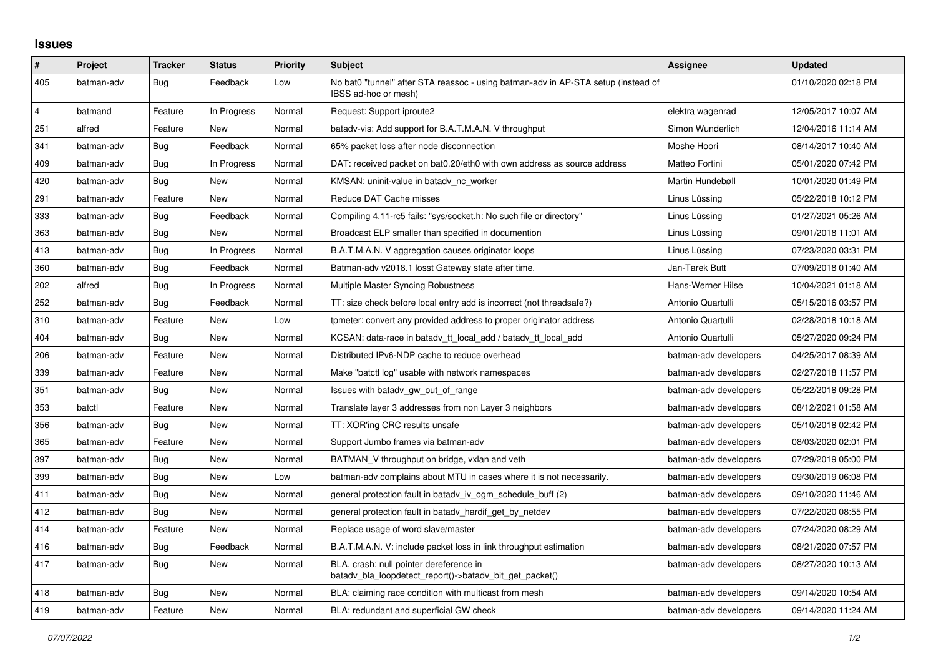## **Issues**

| $\vert$ #      | Project    | <b>Tracker</b> | <b>Status</b> | <b>Priority</b> | <b>Subject</b>                                                                                            | <b>Assignee</b>       | <b>Updated</b>      |
|----------------|------------|----------------|---------------|-----------------|-----------------------------------------------------------------------------------------------------------|-----------------------|---------------------|
| 405            | batman-adv | Bug            | Feedback      | Low             | No bat0 "tunnel" after STA reassoc - using batman-adv in AP-STA setup (instead of<br>IBSS ad-hoc or mesh) |                       | 01/10/2020 02:18 PM |
| $\overline{4}$ | batmand    | Feature        | In Progress   | Normal          | Request: Support iproute2                                                                                 | elektra wagenrad      | 12/05/2017 10:07 AM |
| 251            | alfred     | Feature        | New           | Normal          | batady-vis: Add support for B.A.T.M.A.N. V throughput                                                     | Simon Wunderlich      | 12/04/2016 11:14 AM |
| 341            | batman-adv | Bug            | Feedback      | Normal          | 65% packet loss after node disconnection                                                                  | Moshe Hoori           | 08/14/2017 10:40 AM |
| 409            | batman-adv | Bug            | In Progress   | Normal          | DAT: received packet on bat0.20/eth0 with own address as source address                                   | Matteo Fortini        | 05/01/2020 07:42 PM |
| 420            | batman-adv | <b>Bug</b>     | New           | Normal          | KMSAN: uninit-value in batady nc worker                                                                   | Martin Hundebøll      | 10/01/2020 01:49 PM |
| 291            | batman-adv | Feature        | New           | Normal          | Reduce DAT Cache misses                                                                                   | Linus Lüssing         | 05/22/2018 10:12 PM |
| 333            | batman-adv | Bug            | Feedback      | Normal          | Compiling 4.11-rc5 fails: "sys/socket.h: No such file or directory"                                       | Linus Lüssing         | 01/27/2021 05:26 AM |
| 363            | batman-adv | Bug            | <b>New</b>    | Normal          | Broadcast ELP smaller than specified in documention                                                       | Linus Lüssing         | 09/01/2018 11:01 AM |
| 413            | batman-adv | Bug            | In Progress   | Normal          | B.A.T.M.A.N. V aggregation causes originator loops                                                        | Linus Lüssing         | 07/23/2020 03:31 PM |
| 360            | batman-adv | <b>Bug</b>     | Feedback      | Normal          | Batman-adv v2018.1 losst Gateway state after time.                                                        | Jan-Tarek Butt        | 07/09/2018 01:40 AM |
| 202            | alfred     | <b>Bug</b>     | In Progress   | Normal          | Multiple Master Syncing Robustness                                                                        | Hans-Werner Hilse     | 10/04/2021 01:18 AM |
| 252            | batman-adv | Bug            | Feedback      | Normal          | TT: size check before local entry add is incorrect (not threadsafe?)                                      | Antonio Quartulli     | 05/15/2016 03:57 PM |
| 310            | batman-adv | Feature        | New           | Low             | tpmeter: convert any provided address to proper originator address                                        | Antonio Quartulli     | 02/28/2018 10:18 AM |
| 404            | batman-adv | <b>Bug</b>     | New           | Normal          | KCSAN: data-race in batady tt local add / batady tt local add                                             | Antonio Quartulli     | 05/27/2020 09:24 PM |
| 206            | batman-adv | Feature        | New           | Normal          | Distributed IPv6-NDP cache to reduce overhead                                                             | batman-adv developers | 04/25/2017 08:39 AM |
| 339            | batman-adv | Feature        | New           | Normal          | Make "batctl log" usable with network namespaces                                                          | batman-adv developers | 02/27/2018 11:57 PM |
| 351            | batman-adv | Bug            | New           | Normal          | Issues with batady gw_out_of_range                                                                        | batman-adv developers | 05/22/2018 09:28 PM |
| 353            | batctl     | Feature        | <b>New</b>    | Normal          | Translate layer 3 addresses from non Layer 3 neighbors                                                    | batman-adv developers | 08/12/2021 01:58 AM |
| 356            | batman-adv | Bug            | New           | Normal          | TT: XOR'ing CRC results unsafe                                                                            | batman-adv developers | 05/10/2018 02:42 PM |
| 365            | batman-adv | Feature        | New           | Normal          | Support Jumbo frames via batman-adv                                                                       | batman-adv developers | 08/03/2020 02:01 PM |
| 397            | batman-adv | Bug            | <b>New</b>    | Normal          | BATMAN_V throughput on bridge, vxlan and veth                                                             | batman-adv developers | 07/29/2019 05:00 PM |
| 399            | batman-adv | Bug            | New           | Low             | batman-adv complains about MTU in cases where it is not necessarily.                                      | batman-adv developers | 09/30/2019 06:08 PM |
| 411            | batman-adv | Bug            | New           | Normal          | general protection fault in batady iv ogm_schedule_buff (2)                                               | batman-adv developers | 09/10/2020 11:46 AM |
| 412            | batman-adv | <b>Bug</b>     | New           | Normal          | general protection fault in batady hardif get by netdev                                                   | batman-adv developers | 07/22/2020 08:55 PM |
| 414            | batman-adv | Feature        | New           | Normal          | Replace usage of word slave/master                                                                        | batman-adv developers | 07/24/2020 08:29 AM |
| 416            | batman-adv | Bug            | Feedback      | Normal          | B.A.T.M.A.N. V: include packet loss in link throughput estimation                                         | batman-adv developers | 08/21/2020 07:57 PM |
| 417            | batman-adv | <b>Bug</b>     | New           | Normal          | BLA, crash: null pointer dereference in<br>batady bla loopdetect report()->batady bit get packet()        | batman-adv developers | 08/27/2020 10:13 AM |
| 418            | batman-adv | Bug            | New           | Normal          | BLA: claiming race condition with multicast from mesh                                                     | batman-adv developers | 09/14/2020 10:54 AM |
| 419            | batman-adv | Feature        | New           | Normal          | BLA: redundant and superficial GW check                                                                   | batman-adv developers | 09/14/2020 11:24 AM |